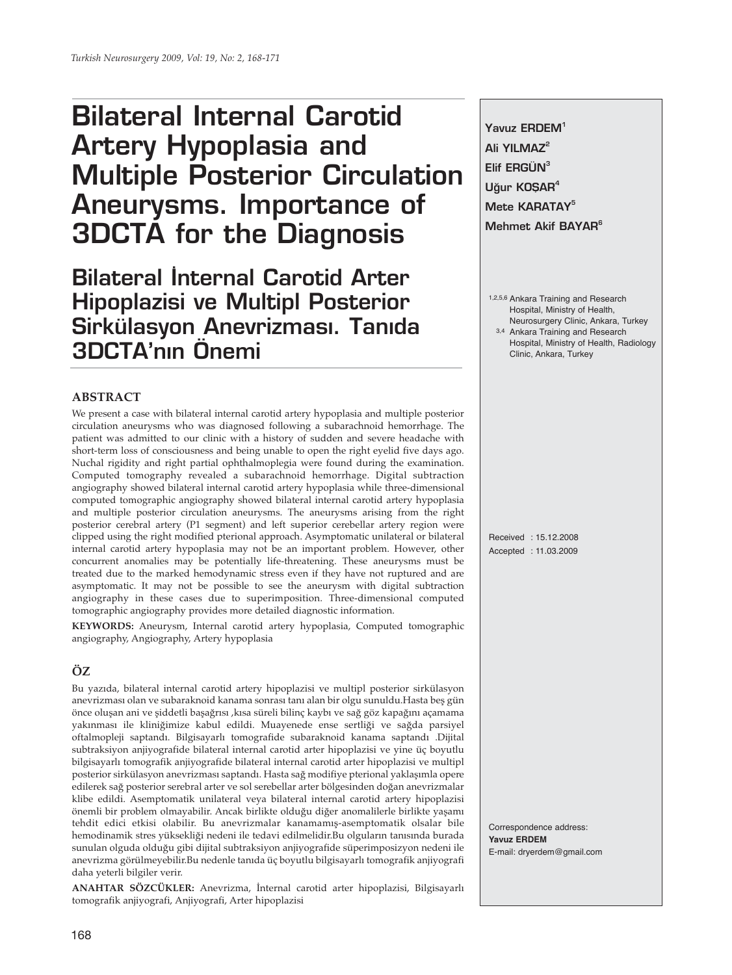# **Bilateral Internal Carotid Artery Hypoplasia and Multiple Posterior Circulation Aneurysms. Importance of 3DCTA for the Diagnosis**

**Bilateral Internal Carotid Arter Hipoplazisi ve Multipl Posterior Sirkülasyon Anevrizması. Tanıda 3DCTA'n›n Önemi**

### **ABSTRACT**

We present a case with bilateral internal carotid artery hypoplasia and multiple posterior circulation aneurysms who was diagnosed following a subarachnoid hemorrhage. The patient was admitted to our clinic with a history of sudden and severe headache with short-term loss of consciousness and being unable to open the right eyelid five days ago. Nuchal rigidity and right partial ophthalmoplegia were found during the examination. Computed tomography revealed a subarachnoid hemorrhage. Digital subtraction angiography showed bilateral internal carotid artery hypoplasia while three-dimensional computed tomographic angiography showed bilateral internal carotid artery hypoplasia and multiple posterior circulation aneurysms. The aneurysms arising from the right posterior cerebral artery (P1 segment) and left superior cerebellar artery region were clipped using the right modified pterional approach. Asymptomatic unilateral or bilateral internal carotid artery hypoplasia may not be an important problem. However, other concurrent anomalies may be potentially life-threatening. These aneurysms must be treated due to the marked hemodynamic stress even if they have not ruptured and are asymptomatic. It may not be possible to see the aneurysm with digital subtraction angiography in these cases due to superimposition. Three-dimensional computed tomographic angiography provides more detailed diagnostic information.

**KEYWORDS:** Aneurysm, Internal carotid artery hypoplasia, Computed tomographic angiography, Angiography, Artery hypoplasia

## **ÖZ**

Bu yazıda, bilateral internal carotid artery hipoplazisi ve multipl posterior sirkülasyon anevrizması olan ve subaraknoid kanama sonrası tanı alan bir olgu sunuldu.Hasta beş gün önce oluşan ani ve şiddetli başağrısı , kısa süreli bilinç kaybı ve sağ göz kapağını açamama yakınması ile kliniğimize kabul edildi. Muayenede ense sertliği ve sağda parsiyel oftalmopleji saptandı. Bilgisayarlı tomografide subaraknoid kanama saptandı .Dijital subtraksiyon anjiyografide bilateral internal carotid arter hipoplazisi ve yine üç boyutlu bilgisayarlı tomografik anjiyografide bilateral internal carotid arter hipoplazisi ve multipl posterior sirkülasyon anevrizması saptandı. Hasta sağ modifiye pterional yaklaşımla opere edilerek sağ posterior serebral arter ve sol serebellar arter bölgesinden doğan anevrizmalar klibe edildi. Asemptomatik unilateral veya bilateral internal carotid artery hipoplazisi önemli bir problem olmayabilir. Ancak birlikte olduğu diğer anomalilerle birlikte yaşamı tehdit edici etkisi olabilir. Bu anevrizmalar kanamamış-asemptomatik olsalar bile hemodinamik stres yüksekliği nedeni ile tedavi edilmelidir.Bu olguların tanısında burada sunulan olguda olduğu gibi dijital subtraksiyon anjiyografide süperimposizyon nedeni ile anevrizma görülmeyebilir.Bu nedenle tanıda üç boyutlu bilgisayarlı tomografik anjiyografi daha yeterli bilgiler verir.

**ANAHTAR SÖZCÜKLER:** Anevrizma, İnternal carotid arter hipoplazisi, Bilgisayarlı tomografik anjiyografi, Anjiyografi, Arter hipoplazisi

**Yavuz ERDEM1 Ali YILMAZ2 Elif ERGÜN3** Uğur KOŞAR<sup>4</sup> **Mete KARATAY5 Mehmet Akif BAYAR<sup>6</sup>** 

- 1,2,5,6 Ankara Training and Research Hospital, Ministry of Health, Neurosurgery Clinic, Ankara, Turkey
- 3,4 Ankara Training and Research Hospital, Ministry of Health, Radiology Clinic, Ankara, Turkey

Received : 15.12.2008 Accepted : 11.03.2009

Correspondence address: **Yavuz ERDEM** E-mail: dryerdem@gmail.com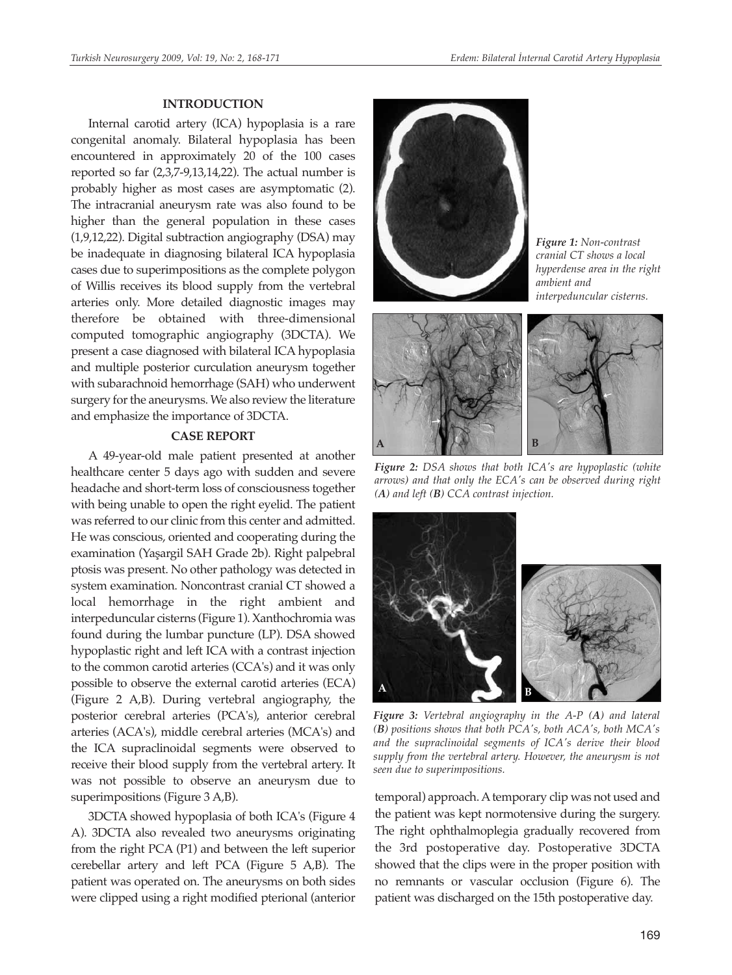#### **INTRODUCTION**

Internal carotid artery (ICA) hypoplasia is a rare congenital anomaly. Bilateral hypoplasia has been encountered in approximately 20 of the 100 cases reported so far (2,3,7-9,13,14,22). The actual number is probably higher as most cases are asymptomatic (2). The intracranial aneurysm rate was also found to be higher than the general population in these cases (1,9,12,22). Digital subtraction angiography (DSA) may be inadequate in diagnosing bilateral ICA hypoplasia cases due to superimpositions as the complete polygon of Willis receives its blood supply from the vertebral arteries only. More detailed diagnostic images may therefore be obtained with three-dimensional computed tomographic angiography (3DCTA). We present a case diagnosed with bilateral ICA hypoplasia and multiple posterior curculation aneurysm together with subarachnoid hemorrhage (SAH) who underwent surgery for the aneurysms. We also review the literature and emphasize the importance of 3DCTA.

### **CASE REPORT**

A 49-year-old male patient presented at another healthcare center 5 days ago with sudden and severe headache and short-term loss of consciousness together with being unable to open the right eyelid. The patient was referred to our clinic from this center and admitted. He was conscious, oriented and cooperating during the examination (Yaşargil SAH Grade 2b). Right palpebral ptosis was present. No other pathology was detected in system examination. Noncontrast cranial CT showed a local hemorrhage in the right ambient and interpeduncular cisterns (Figure 1). Xanthochromia was found during the lumbar puncture (LP). DSA showed hypoplastic right and left ICA with a contrast injection to the common carotid arteries (CCA's) and it was only possible to observe the external carotid arteries (ECA) (Figure 2 A,B). During vertebral angiography, the posterior cerebral arteries (PCA's), anterior cerebral arteries (ACA's), middle cerebral arteries (MCA's) and the ICA supraclinoidal segments were observed to receive their blood supply from the vertebral artery. It was not possible to observe an aneurysm due to superimpositions (Figure 3 A,B).

3DCTA showed hypoplasia of both ICA's (Figure 4 A). 3DCTA also revealed two aneurysms originating from the right PCA (P1) and between the left superior cerebellar artery and left PCA (Figure 5 A,B). The patient was operated on. The aneurysms on both sides were clipped using a right modified pterional (anterior



*Figure 1: Non-contrast cranial CT shows a local hyperdense area in the right ambient and interpeduncular cisterns.* 



*Figure 2: DSA shows that both ICA's are hypoplastic (white arrows) and that only the ECA's can be observed during right (A) and left (B) CCA contrast injection.*



*Figure 3: Vertebral angiography in the A-P (A) and lateral (B) positions shows that both PCA's, both ACA's, both MCA's and the supraclinoidal segments of ICA's derive their blood supply from the vertebral artery. However, the aneurysm is not seen due to superimpositions.*

temporal) approach. Atemporary clip was not used and the patient was kept normotensive during the surgery. The right ophthalmoplegia gradually recovered from the 3rd postoperative day. Postoperative 3DCTA showed that the clips were in the proper position with no remnants or vascular occlusion (Figure 6). The patient was discharged on the 15th postoperative day.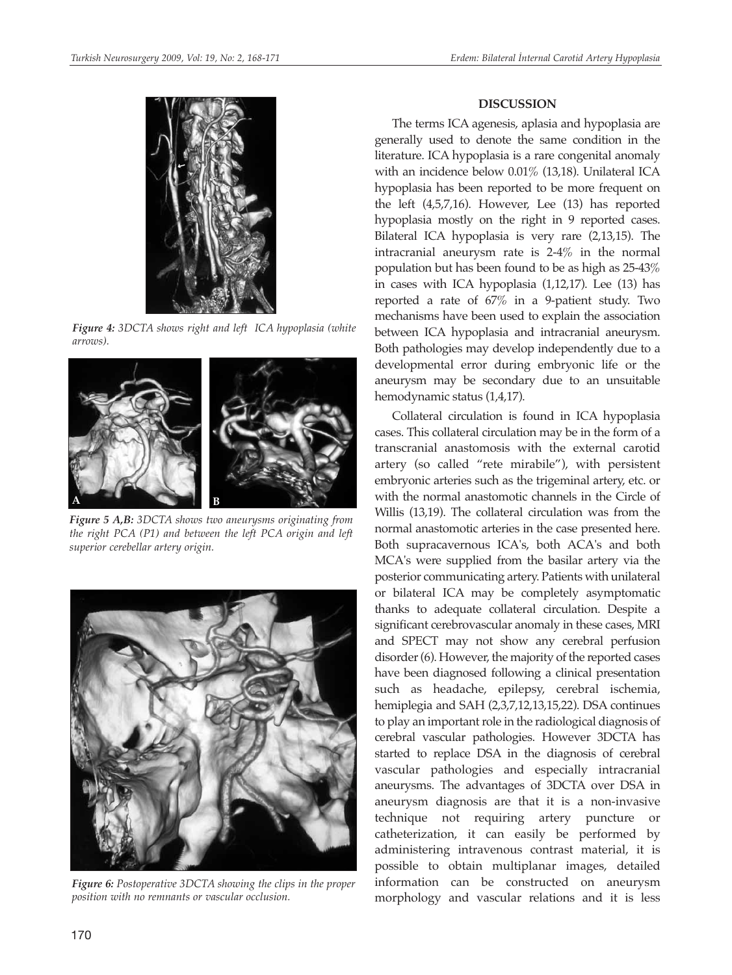

*Figure 4: 3DCTA shows right and left ICA hypoplasia (white arrows).*



*Figure 5 A,B: 3DCTA shows two aneurysms originating from the right PCA (P1) and between the left PCA origin and left superior cerebellar artery origin.*



*Figure 6: Postoperative 3DCTA showing the clips in the proper position with no remnants or vascular occlusion.*

## **DISCUSSION**

The terms ICA agenesis, aplasia and hypoplasia are generally used to denote the same condition in the literature. ICA hypoplasia is a rare congenital anomaly with an incidence below 0.01% (13,18). Unilateral ICA hypoplasia has been reported to be more frequent on the left (4,5,7,16). However, Lee (13) has reported hypoplasia mostly on the right in 9 reported cases. Bilateral ICA hypoplasia is very rare (2,13,15). The intracranial aneurysm rate is 2-4% in the normal population but has been found to be as high as 25-43% in cases with ICA hypoplasia (1,12,17). Lee (13) has reported a rate of 67% in a 9-patient study. Two mechanisms have been used to explain the association between ICA hypoplasia and intracranial aneurysm. Both pathologies may develop independently due to a developmental error during embryonic life or the aneurysm may be secondary due to an unsuitable hemodynamic status (1,4,17).

Collateral circulation is found in ICA hypoplasia cases. This collateral circulation may be in the form of a transcranial anastomosis with the external carotid artery (so called "rete mirabile"), with persistent embryonic arteries such as the trigeminal artery, etc. or with the normal anastomotic channels in the Circle of Willis (13,19). The collateral circulation was from the normal anastomotic arteries in the case presented here. Both supracavernous ICA's, both ACA's and both MCA's were supplied from the basilar artery via the posterior communicating artery. Patients with unilateral or bilateral ICA may be completely asymptomatic thanks to adequate collateral circulation. Despite a significant cerebrovascular anomaly in these cases, MRI and SPECT may not show any cerebral perfusion disorder (6). However, the majority of the reported cases have been diagnosed following a clinical presentation such as headache, epilepsy, cerebral ischemia, hemiplegia and SAH (2,3,7,12,13,15,22). DSA continues to play an important role in the radiological diagnosis of cerebral vascular pathologies. However 3DCTA has started to replace DSA in the diagnosis of cerebral vascular pathologies and especially intracranial aneurysms. The advantages of 3DCTA over DSA in aneurysm diagnosis are that it is a non-invasive technique not requiring artery puncture or catheterization, it can easily be performed by administering intravenous contrast material, it is possible to obtain multiplanar images, detailed information can be constructed on aneurysm morphology and vascular relations and it is less